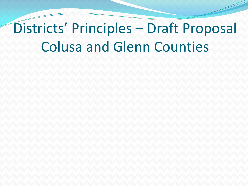## Districts' Principles – Draft Proposal Colusa and Glenn Counties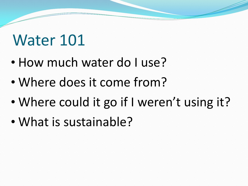### Water 101

- How much water do I use?
- Where does it come from?
- Where could it go if I weren't using it?
- What is sustainable?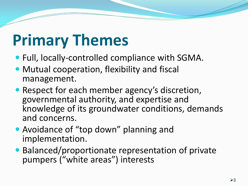# **Primary Themes**

- Full, locally-controlled compliance with SGMA.
- Mutual cooperation, flexibility and fiscal management.
- Respect for each member agency's discretion, governmental authority, and expertise and knowledge of its groundwater conditions, demands and concerns.
- Avoidance of "top down" planning and implementation.
- Balanced/proportionate representation of private pumpers ("white areas") interests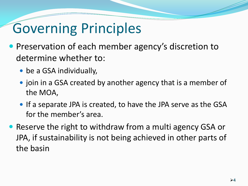#### Governing Principles

- Preservation of each member agency's discretion to determine whether to:
	- be a GSA individually,
	- join in a GSA created by another agency that is a member of the MOA,
	- If a separate JPA is created, to have the JPA serve as the GSA for the member's area.
- Reserve the right to withdraw from a multi agency GSA or JPA, if sustainability is not being achieved in other parts of the basin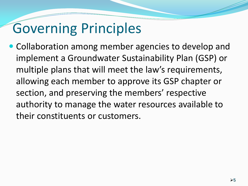### Governing Principles

• Collaboration among member agencies to develop and implement a Groundwater Sustainability Plan (GSP) or multiple plans that will meet the law's requirements, allowing each member to approve its GSP chapter or section, and preserving the members' respective authority to manage the water resources available to their constituents or customers.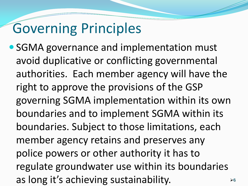#### Governing Principles

 SGMA governance and implementation must avoid duplicative or conflicting governmental authorities. Each member agency will have the right to approve the provisions of the GSP governing SGMA implementation within its own boundaries and to implement SGMA within its boundaries. Subject to those limitations, each member agency retains and preserves any police powers or other authority it has to regulate groundwater use within its boundaries as long it's achieving sustainability.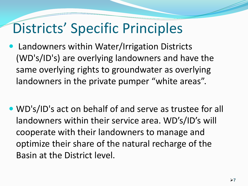- Landowners within Water/Irrigation Districts (WD's/ID's) are overlying landowners and have the same overlying rights to groundwater as overlying landowners in the private pumper "white areas".
- WD's/ID's act on behalf of and serve as trustee for all landowners within their service area. WD's/ID's will cooperate with their landowners to manage and optimize their share of the natural recharge of the Basin at the District level.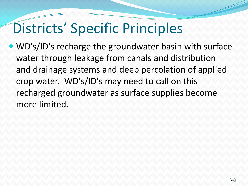WD's/ID's recharge the groundwater basin with surface water through leakage from canals and distribution and drainage systems and deep percolation of applied crop water. WD's/ID's may need to call on this recharged groundwater as surface supplies become more limited.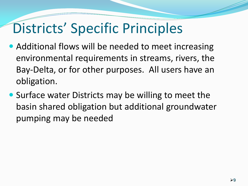- Additional flows will be needed to meet increasing environmental requirements in streams, rivers, the Bay-Delta, or for other purposes. All users have an obligation.
- Surface water Districts may be willing to meet the basin shared obligation but additional groundwater pumping may be needed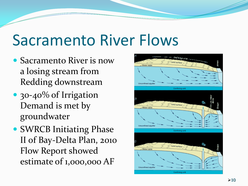## Sacramento River Flows

- Sacramento River is now a losing stream from Redding downstream
- 30-40% of Irrigation Demand is met by groundwater
- SWRCB Initiating Phase II of Bay-Delta Plan, 2010 Flow Report showed estimate of 1,000,000 AF

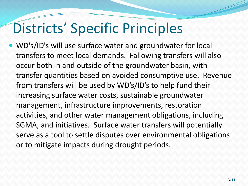WD's/ID's will use surface water and groundwater for local transfers to meet local demands. Fallowing transfers will also occur both in and outside of the groundwater basin, with transfer quantities based on avoided consumptive use. Revenue from transfers will be used by WD's/ID's to help fund their increasing surface water costs, sustainable groundwater management, infrastructure improvements, restoration activities, and other water management obligations, including SGMA, and initiatives. Surface water transfers will potentially serve as a tool to settle disputes over environmental obligations or to mitigate impacts during drought periods.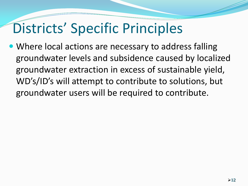• Where local actions are necessary to address falling groundwater levels and subsidence caused by localized groundwater extraction in excess of sustainable yield, WD's/ID's will attempt to contribute to solutions, but groundwater users will be required to contribute.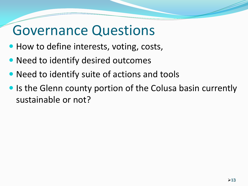#### Governance Questions

- How to define interests, voting, costs,
- Need to identify desired outcomes
- Need to identify suite of actions and tools
- Is the Glenn county portion of the Colusa basin currently sustainable or not?